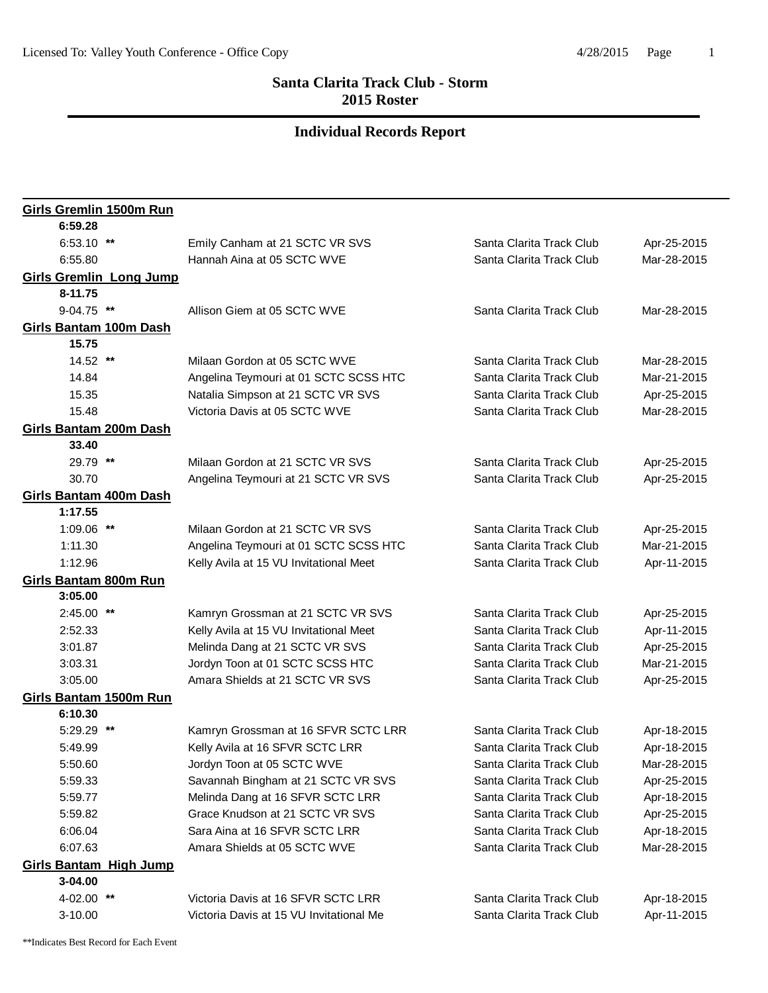| <b>Girls Gremlin 1500m Run</b> |                                         |                          |             |
|--------------------------------|-----------------------------------------|--------------------------|-------------|
| 6:59.28                        |                                         |                          |             |
| $6:53.10$ **                   | Emily Canham at 21 SCTC VR SVS          | Santa Clarita Track Club | Apr-25-2015 |
| 6:55.80                        | Hannah Aina at 05 SCTC WVE              | Santa Clarita Track Club | Mar-28-2015 |
| <b>Girls Gremlin Long Jump</b> |                                         |                          |             |
| 8-11.75                        |                                         |                          |             |
| 9-04.75 **                     | Allison Giem at 05 SCTC WVE             | Santa Clarita Track Club | Mar-28-2015 |
| Girls Bantam 100m Dash         |                                         |                          |             |
| 15.75                          |                                         |                          |             |
| 14.52 **                       | Milaan Gordon at 05 SCTC WVE            | Santa Clarita Track Club | Mar-28-2015 |
| 14.84                          | Angelina Teymouri at 01 SCTC SCSS HTC   | Santa Clarita Track Club | Mar-21-2015 |
| 15.35                          | Natalia Simpson at 21 SCTC VR SVS       | Santa Clarita Track Club | Apr-25-2015 |
| 15.48                          | Victoria Davis at 05 SCTC WVE           | Santa Clarita Track Club | Mar-28-2015 |
| <b>Girls Bantam 200m Dash</b>  |                                         |                          |             |
| 33.40                          |                                         |                          |             |
| 29.79 **                       | Milaan Gordon at 21 SCTC VR SVS         | Santa Clarita Track Club | Apr-25-2015 |
| 30.70                          | Angelina Teymouri at 21 SCTC VR SVS     | Santa Clarita Track Club | Apr-25-2015 |
| Girls Bantam 400m Dash         |                                         |                          |             |
| 1:17.55                        |                                         |                          |             |
| 1:09.06 **                     | Milaan Gordon at 21 SCTC VR SVS         | Santa Clarita Track Club | Apr-25-2015 |
| 1:11.30                        | Angelina Teymouri at 01 SCTC SCSS HTC   | Santa Clarita Track Club | Mar-21-2015 |
| 1:12.96                        | Kelly Avila at 15 VU Invitational Meet  | Santa Clarita Track Club | Apr-11-2015 |
| <b>Girls Bantam 800m Run</b>   |                                         |                          |             |
| 3:05.00                        |                                         |                          |             |
| 2:45.00 **                     | Kamryn Grossman at 21 SCTC VR SVS       | Santa Clarita Track Club | Apr-25-2015 |
| 2:52.33                        | Kelly Avila at 15 VU Invitational Meet  | Santa Clarita Track Club | Apr-11-2015 |
| 3:01.87                        | Melinda Dang at 21 SCTC VR SVS          | Santa Clarita Track Club | Apr-25-2015 |
| 3:03.31                        | Jordyn Toon at 01 SCTC SCSS HTC         | Santa Clarita Track Club | Mar-21-2015 |
| 3:05.00                        | Amara Shields at 21 SCTC VR SVS         | Santa Clarita Track Club | Apr-25-2015 |
| Girls Bantam 1500m Run         |                                         |                          |             |
| 6:10.30                        |                                         |                          |             |
| 5:29.29 **                     | Kamryn Grossman at 16 SFVR SCTC LRR     | Santa Clarita Track Club | Apr-18-2015 |
| 5:49.99                        | Kelly Avila at 16 SFVR SCTC LRR         | Santa Clarita Track Club | Apr-18-2015 |
| 5:50.60                        | Jordyn Toon at 05 SCTC WVE              | Santa Clarita Track Club | Mar-28-2015 |
| 5:59.33                        | Savannah Bingham at 21 SCTC VR SVS      | Santa Clarita Track Club | Apr-25-2015 |
| 5:59.77                        | Melinda Dang at 16 SFVR SCTC LRR        | Santa Clarita Track Club | Apr-18-2015 |
| 5:59.82                        | Grace Knudson at 21 SCTC VR SVS         | Santa Clarita Track Club | Apr-25-2015 |
| 6:06.04                        | Sara Aina at 16 SFVR SCTC LRR           | Santa Clarita Track Club | Apr-18-2015 |
| 6:07.63                        | Amara Shields at 05 SCTC WVE            | Santa Clarita Track Club | Mar-28-2015 |
| <b>Girls Bantam High Jump</b>  |                                         |                          |             |
| 3-04.00                        |                                         |                          |             |
| 4-02.00 **                     | Victoria Davis at 16 SFVR SCTC LRR      | Santa Clarita Track Club | Apr-18-2015 |
| $3 - 10.00$                    | Victoria Davis at 15 VU Invitational Me | Santa Clarita Track Club | Apr-11-2015 |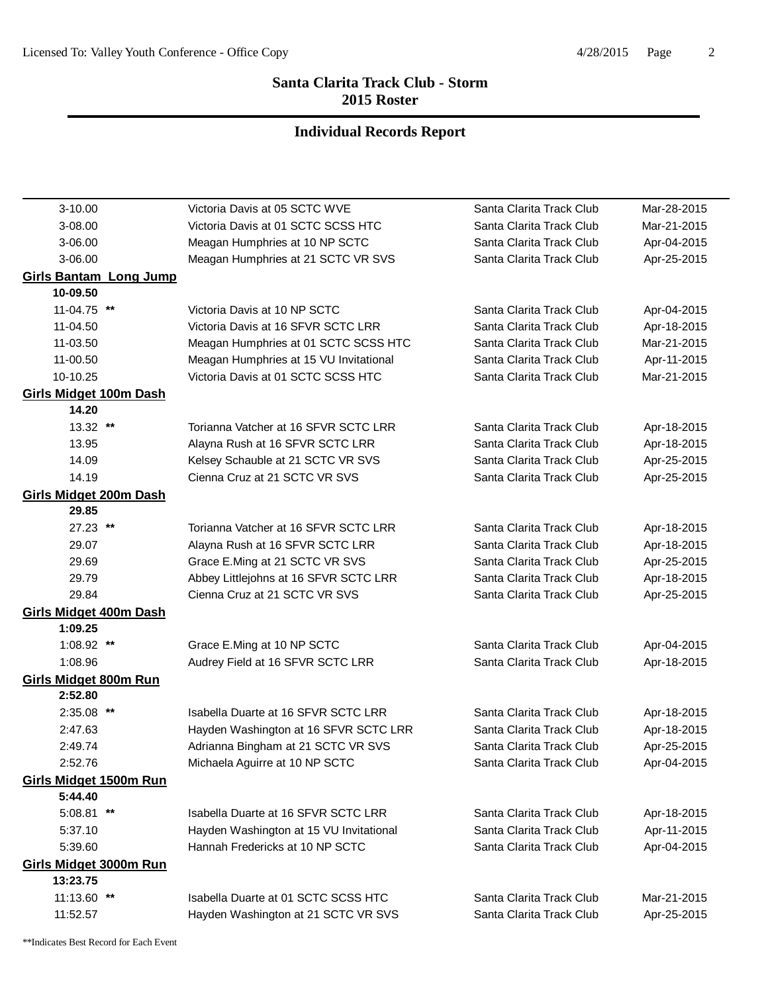#### **Individual Records Report**

| 3-10.00                       | Victoria Davis at 05 SCTC WVE           | Santa Clarita Track Club | Mar-28-2015 |
|-------------------------------|-----------------------------------------|--------------------------|-------------|
| 3-08.00                       | Victoria Davis at 01 SCTC SCSS HTC      | Santa Clarita Track Club | Mar-21-2015 |
| 3-06.00                       | Meagan Humphries at 10 NP SCTC          | Santa Clarita Track Club | Apr-04-2015 |
| 3-06.00                       | Meagan Humphries at 21 SCTC VR SVS      | Santa Clarita Track Club | Apr-25-2015 |
| <b>Girls Bantam Long Jump</b> |                                         |                          |             |
| 10-09.50                      |                                         |                          |             |
| 11-04.75 **                   | Victoria Davis at 10 NP SCTC            | Santa Clarita Track Club | Apr-04-2015 |
| 11-04.50                      | Victoria Davis at 16 SFVR SCTC LRR      | Santa Clarita Track Club | Apr-18-2015 |
| 11-03.50                      | Meagan Humphries at 01 SCTC SCSS HTC    | Santa Clarita Track Club | Mar-21-2015 |
| 11-00.50                      | Meagan Humphries at 15 VU Invitational  | Santa Clarita Track Club | Apr-11-2015 |
| 10-10.25                      | Victoria Davis at 01 SCTC SCSS HTC      | Santa Clarita Track Club | Mar-21-2015 |
| <b>Girls Midget 100m Dash</b> |                                         |                          |             |
| 14.20                         |                                         |                          |             |
| 13.32 **                      | Torianna Vatcher at 16 SFVR SCTC LRR    | Santa Clarita Track Club | Apr-18-2015 |
| 13.95                         | Alayna Rush at 16 SFVR SCTC LRR         | Santa Clarita Track Club | Apr-18-2015 |
| 14.09                         | Kelsey Schauble at 21 SCTC VR SVS       | Santa Clarita Track Club | Apr-25-2015 |
| 14.19                         | Cienna Cruz at 21 SCTC VR SVS           | Santa Clarita Track Club | Apr-25-2015 |
| <b>Girls Midget 200m Dash</b> |                                         |                          |             |
| 29.85                         |                                         |                          |             |
| 27.23 **                      | Torianna Vatcher at 16 SFVR SCTC LRR    | Santa Clarita Track Club | Apr-18-2015 |
| 29.07                         | Alayna Rush at 16 SFVR SCTC LRR         | Santa Clarita Track Club | Apr-18-2015 |
| 29.69                         | Grace E.Ming at 21 SCTC VR SVS          | Santa Clarita Track Club | Apr-25-2015 |
| 29.79                         | Abbey Littlejohns at 16 SFVR SCTC LRR   | Santa Clarita Track Club | Apr-18-2015 |
| 29.84                         | Cienna Cruz at 21 SCTC VR SVS           | Santa Clarita Track Club | Apr-25-2015 |
| <b>Girls Midget 400m Dash</b> |                                         |                          |             |
| 1:09.25                       |                                         |                          |             |
| 1:08.92 **                    | Grace E.Ming at 10 NP SCTC              | Santa Clarita Track Club | Apr-04-2015 |
| 1:08.96                       | Audrey Field at 16 SFVR SCTC LRR        | Santa Clarita Track Club | Apr-18-2015 |
| <b>Girls Midget 800m Run</b>  |                                         |                          |             |
| 2:52.80                       |                                         |                          |             |
| 2:35.08 **                    | Isabella Duarte at 16 SFVR SCTC LRR     | Santa Clarita Track Club | Apr-18-2015 |
| 2:47.63                       | Hayden Washington at 16 SFVR SCTC LRR   | Santa Clarita Track Club | Apr-18-2015 |
| 2:49.74                       | Adrianna Bingham at 21 SCTC VR SVS      | Santa Clarita Track Club | Apr-25-2015 |
| 2:52.76                       | Michaela Aguirre at 10 NP SCTC          | Santa Clarita Track Club | Apr-04-2015 |
| Girls Midget 1500m Run        |                                         |                          |             |
| 5:44.40                       |                                         |                          |             |
| 5:08.81 **                    | Isabella Duarte at 16 SFVR SCTC LRR     | Santa Clarita Track Club | Apr-18-2015 |
| 5:37.10                       | Hayden Washington at 15 VU Invitational | Santa Clarita Track Club | Apr-11-2015 |
| 5:39.60                       | Hannah Fredericks at 10 NP SCTC         | Santa Clarita Track Club | Apr-04-2015 |
| Girls Midget 3000m Run        |                                         |                          |             |
| 13:23.75                      |                                         |                          |             |
| 11:13.60 **                   | Isabella Duarte at 01 SCTC SCSS HTC     | Santa Clarita Track Club | Mar-21-2015 |
| 11:52.57                      | Hayden Washington at 21 SCTC VR SVS     | Santa Clarita Track Club | Apr-25-2015 |

\*\*Indicates Best Record for Each Event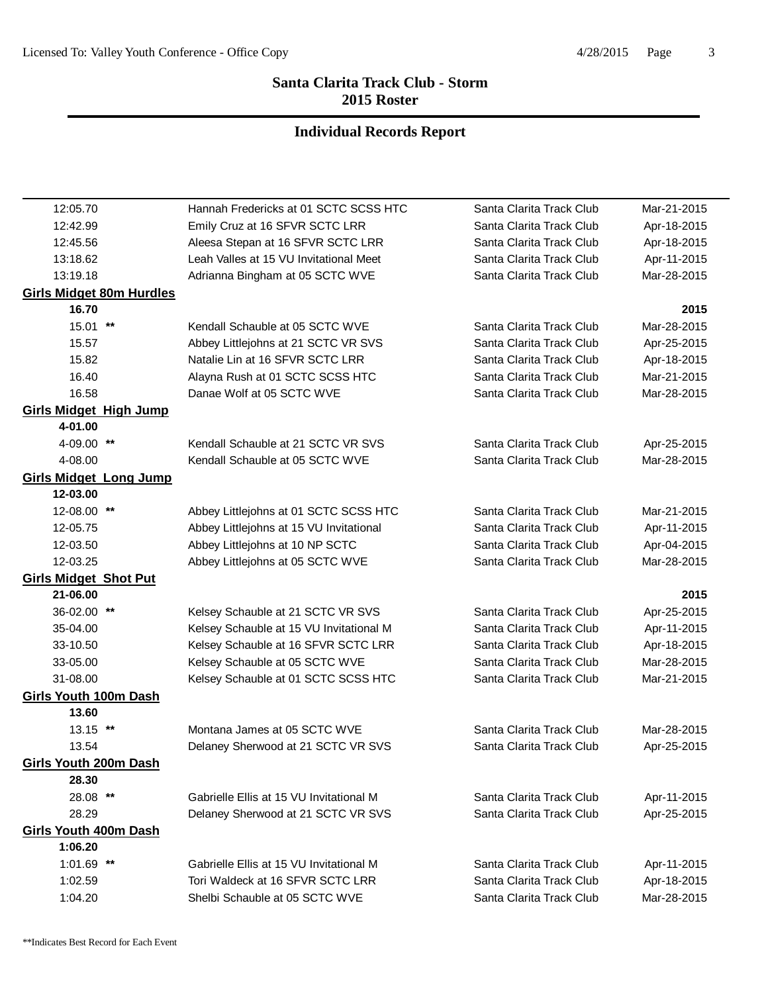| 12:05.70                        | Hannah Fredericks at 01 SCTC SCSS HTC   | Santa Clarita Track Club | Mar-21-2015 |
|---------------------------------|-----------------------------------------|--------------------------|-------------|
| 12:42.99                        | Emily Cruz at 16 SFVR SCTC LRR          | Santa Clarita Track Club | Apr-18-2015 |
| 12:45.56                        | Aleesa Stepan at 16 SFVR SCTC LRR       | Santa Clarita Track Club | Apr-18-2015 |
| 13:18.62                        | Leah Valles at 15 VU Invitational Meet  | Santa Clarita Track Club | Apr-11-2015 |
| 13:19.18                        | Adrianna Bingham at 05 SCTC WVE         | Santa Clarita Track Club | Mar-28-2015 |
| <b>Girls Midget 80m Hurdles</b> |                                         |                          |             |
| 16.70                           |                                         |                          | 2015        |
| 15.01 **                        | Kendall Schauble at 05 SCTC WVE         | Santa Clarita Track Club | Mar-28-2015 |
| 15.57                           | Abbey Littlejohns at 21 SCTC VR SVS     | Santa Clarita Track Club | Apr-25-2015 |
| 15.82                           | Natalie Lin at 16 SFVR SCTC LRR         | Santa Clarita Track Club | Apr-18-2015 |
| 16.40                           | Alayna Rush at 01 SCTC SCSS HTC         | Santa Clarita Track Club | Mar-21-2015 |
| 16.58                           | Danae Wolf at 05 SCTC WVE               | Santa Clarita Track Club | Mar-28-2015 |
| <b>Girls Midget High Jump</b>   |                                         |                          |             |
| 4-01.00                         |                                         |                          |             |
| 4-09.00 **                      | Kendall Schauble at 21 SCTC VR SVS      | Santa Clarita Track Club | Apr-25-2015 |
| 4-08.00                         | Kendall Schauble at 05 SCTC WVE         | Santa Clarita Track Club | Mar-28-2015 |
| <b>Girls Midget Long Jump</b>   |                                         |                          |             |
| 12-03.00                        |                                         |                          |             |
| 12-08.00 **                     | Abbey Littlejohns at 01 SCTC SCSS HTC   | Santa Clarita Track Club | Mar-21-2015 |
| 12-05.75                        | Abbey Littlejohns at 15 VU Invitational | Santa Clarita Track Club | Apr-11-2015 |
| 12-03.50                        | Abbey Littlejohns at 10 NP SCTC         | Santa Clarita Track Club | Apr-04-2015 |
| 12-03.25                        | Abbey Littlejohns at 05 SCTC WVE        | Santa Clarita Track Club | Mar-28-2015 |
| <b>Girls Midget Shot Put</b>    |                                         |                          |             |
| 21-06.00                        |                                         |                          | 2015        |
| 36-02.00 **                     | Kelsey Schauble at 21 SCTC VR SVS       | Santa Clarita Track Club | Apr-25-2015 |
| 35-04.00                        | Kelsey Schauble at 15 VU Invitational M | Santa Clarita Track Club | Apr-11-2015 |
| 33-10.50                        | Kelsey Schauble at 16 SFVR SCTC LRR     | Santa Clarita Track Club | Apr-18-2015 |
| 33-05.00                        | Kelsey Schauble at 05 SCTC WVE          | Santa Clarita Track Club | Mar-28-2015 |
| 31-08.00                        | Kelsey Schauble at 01 SCTC SCSS HTC     | Santa Clarita Track Club | Mar-21-2015 |
| <b>Girls Youth 100m Dash</b>    |                                         |                          |             |
| 13.60                           |                                         |                          |             |
| $13.15$ **                      | Montana James at 05 SCTC WVE            | Santa Clarita Track Club | Mar-28-2015 |
| 13.54                           | Delaney Sherwood at 21 SCTC VR SVS      | Santa Clarita Track Club | Apr-25-2015 |
| <b>Girls Youth 200m Dash</b>    |                                         |                          |             |
| 28.30                           |                                         |                          |             |
| 28.08 **                        | Gabrielle Ellis at 15 VU Invitational M | Santa Clarita Track Club | Apr-11-2015 |
| 28.29                           | Delaney Sherwood at 21 SCTC VR SVS      | Santa Clarita Track Club | Apr-25-2015 |
| <b>Girls Youth 400m Dash</b>    |                                         |                          |             |
| 1:06.20                         |                                         |                          |             |
| 1:01.69 **                      | Gabrielle Ellis at 15 VU Invitational M | Santa Clarita Track Club | Apr-11-2015 |
| 1:02.59                         | Tori Waldeck at 16 SFVR SCTC LRR        | Santa Clarita Track Club | Apr-18-2015 |
| 1:04.20                         | Shelbi Schauble at 05 SCTC WVE          | Santa Clarita Track Club | Mar-28-2015 |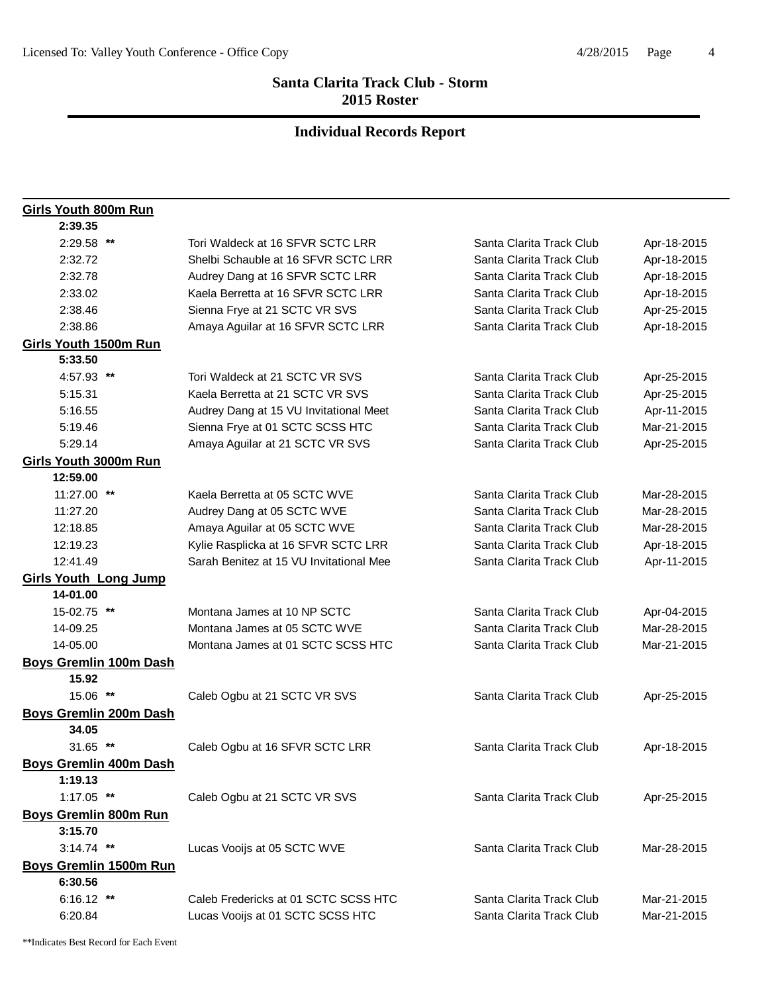#### **Individual Records Report**

| <b>Girls Youth 800m Run</b>            |                                         |                          |             |
|----------------------------------------|-----------------------------------------|--------------------------|-------------|
| 2:39.35                                |                                         |                          |             |
| 2:29.58 **                             | Tori Waldeck at 16 SFVR SCTC LRR        | Santa Clarita Track Club | Apr-18-2015 |
| 2:32.72                                | Shelbi Schauble at 16 SFVR SCTC LRR     | Santa Clarita Track Club | Apr-18-2015 |
| 2:32.78                                | Audrey Dang at 16 SFVR SCTC LRR         | Santa Clarita Track Club | Apr-18-2015 |
| 2:33.02                                | Kaela Berretta at 16 SFVR SCTC LRR      | Santa Clarita Track Club | Apr-18-2015 |
| 2:38.46                                | Sienna Frye at 21 SCTC VR SVS           | Santa Clarita Track Club | Apr-25-2015 |
| 2:38.86                                | Amaya Aguilar at 16 SFVR SCTC LRR       | Santa Clarita Track Club | Apr-18-2015 |
| <b>Girls Youth 1500m Run</b>           |                                         |                          |             |
| 5:33.50                                |                                         |                          |             |
| 4:57.93 **                             | Tori Waldeck at 21 SCTC VR SVS          | Santa Clarita Track Club | Apr-25-2015 |
| 5:15.31                                | Kaela Berretta at 21 SCTC VR SVS        | Santa Clarita Track Club | Apr-25-2015 |
| 5:16.55                                | Audrey Dang at 15 VU Invitational Meet  | Santa Clarita Track Club | Apr-11-2015 |
| 5:19.46                                | Sienna Frye at 01 SCTC SCSS HTC         | Santa Clarita Track Club | Mar-21-2015 |
| 5:29.14                                | Amaya Aguilar at 21 SCTC VR SVS         | Santa Clarita Track Club | Apr-25-2015 |
| <b>Girls Youth 3000m Run</b>           |                                         |                          |             |
| 12:59.00                               |                                         |                          |             |
| 11:27.00 **                            | Kaela Berretta at 05 SCTC WVE           | Santa Clarita Track Club | Mar-28-2015 |
| 11:27.20                               | Audrey Dang at 05 SCTC WVE              | Santa Clarita Track Club | Mar-28-2015 |
| 12:18.85                               | Amaya Aguilar at 05 SCTC WVE            | Santa Clarita Track Club | Mar-28-2015 |
| 12:19.23                               | Kylie Rasplicka at 16 SFVR SCTC LRR     | Santa Clarita Track Club | Apr-18-2015 |
| 12:41.49                               | Sarah Benitez at 15 VU Invitational Mee | Santa Clarita Track Club | Apr-11-2015 |
| <b>Girls Youth Long Jump</b>           |                                         |                          |             |
| 14-01.00                               |                                         |                          |             |
| 15-02.75 **                            | Montana James at 10 NP SCTC             | Santa Clarita Track Club | Apr-04-2015 |
| 14-09.25                               | Montana James at 05 SCTC WVE            | Santa Clarita Track Club | Mar-28-2015 |
| 14-05.00                               | Montana James at 01 SCTC SCSS HTC       | Santa Clarita Track Club | Mar-21-2015 |
| <b>Boys Gremlin 100m Dash</b><br>15.92 |                                         |                          |             |
| 15.06 **                               | Caleb Ogbu at 21 SCTC VR SVS            | Santa Clarita Track Club | Apr-25-2015 |
| <b>Boys Gremlin 200m Dash</b>          |                                         |                          |             |
| 34.05                                  |                                         |                          |             |
| 31.65 **                               | Caleb Ogbu at 16 SFVR SCTC LRR          | Santa Clarita Track Club | Apr-18-2015 |
| <b>Boys Gremlin 400m Dash</b>          |                                         |                          |             |
| 1:19.13                                |                                         |                          |             |
| $1:17.05$ **                           | Caleb Ogbu at 21 SCTC VR SVS            | Santa Clarita Track Club | Apr-25-2015 |
| <b>Boys Gremlin 800m Run</b>           |                                         |                          |             |
| 3:15.70                                |                                         |                          |             |
| $3:14.74$ **                           | Lucas Vooijs at 05 SCTC WVE             | Santa Clarita Track Club | Mar-28-2015 |
| <b>Boys Gremlin 1500m Run</b>          |                                         |                          |             |
| 6:30.56                                |                                         |                          |             |
| $6:16.12$ **                           | Caleb Fredericks at 01 SCTC SCSS HTC    | Santa Clarita Track Club | Mar-21-2015 |
| 6:20.84                                | Lucas Vooijs at 01 SCTC SCSS HTC        | Santa Clarita Track Club | Mar-21-2015 |
|                                        |                                         |                          |             |

\*\*Indicates Best Record for Each Event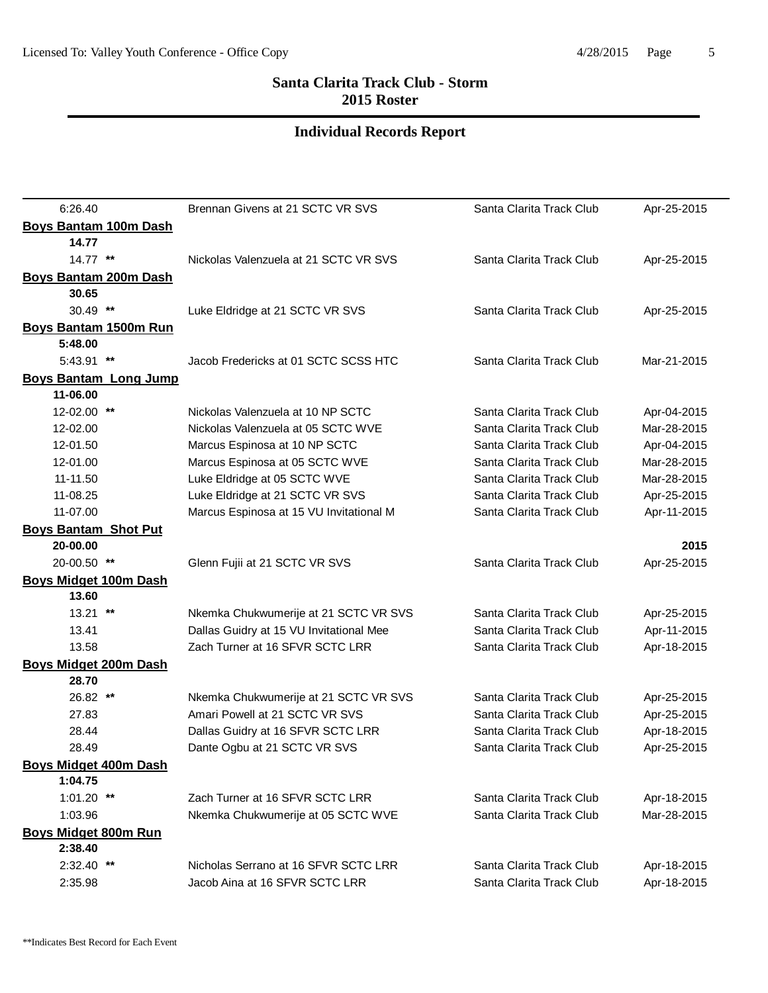| 6:26.40                      | Brennan Givens at 21 SCTC VR SVS        | Santa Clarita Track Club | Apr-25-2015 |
|------------------------------|-----------------------------------------|--------------------------|-------------|
| <b>Boys Bantam 100m Dash</b> |                                         |                          |             |
| 14.77                        |                                         |                          |             |
| 14.77 **                     | Nickolas Valenzuela at 21 SCTC VR SVS   | Santa Clarita Track Club | Apr-25-2015 |
| Boys Bantam 200m Dash        |                                         |                          |             |
| 30.65                        |                                         |                          |             |
| 30.49 **                     | Luke Eldridge at 21 SCTC VR SVS         | Santa Clarita Track Club | Apr-25-2015 |
| <b>Boys Bantam 1500m Run</b> |                                         |                          |             |
| 5:48.00                      |                                         |                          |             |
| 5:43.91 **                   | Jacob Fredericks at 01 SCTC SCSS HTC    | Santa Clarita Track Club | Mar-21-2015 |
| <b>Boys Bantam Long Jump</b> |                                         |                          |             |
| 11-06.00                     |                                         |                          |             |
| 12-02.00 **                  | Nickolas Valenzuela at 10 NP SCTC       | Santa Clarita Track Club | Apr-04-2015 |
| 12-02.00                     | Nickolas Valenzuela at 05 SCTC WVE      | Santa Clarita Track Club | Mar-28-2015 |
| 12-01.50                     | Marcus Espinosa at 10 NP SCTC           | Santa Clarita Track Club | Apr-04-2015 |
| 12-01.00                     | Marcus Espinosa at 05 SCTC WVE          | Santa Clarita Track Club | Mar-28-2015 |
| 11-11.50                     | Luke Eldridge at 05 SCTC WVE            | Santa Clarita Track Club | Mar-28-2015 |
| 11-08.25                     | Luke Eldridge at 21 SCTC VR SVS         | Santa Clarita Track Club | Apr-25-2015 |
| 11-07.00                     | Marcus Espinosa at 15 VU Invitational M | Santa Clarita Track Club | Apr-11-2015 |
| <b>Boys Bantam Shot Put</b>  |                                         |                          |             |
| 20-00.00                     |                                         |                          | 2015        |
| 20-00.50 **                  | Glenn Fujii at 21 SCTC VR SVS           | Santa Clarita Track Club | Apr-25-2015 |
| <b>Boys Midget 100m Dash</b> |                                         |                          |             |
| 13.60                        |                                         |                          |             |
| $13.21$ **                   | Nkemka Chukwumerije at 21 SCTC VR SVS   | Santa Clarita Track Club | Apr-25-2015 |
| 13.41                        | Dallas Guidry at 15 VU Invitational Mee | Santa Clarita Track Club | Apr-11-2015 |
| 13.58                        | Zach Turner at 16 SFVR SCTC LRR         | Santa Clarita Track Club | Apr-18-2015 |
| <b>Boys Midget 200m Dash</b> |                                         |                          |             |
| 28.70                        |                                         |                          |             |
| 26.82 **                     | Nkemka Chukwumerije at 21 SCTC VR SVS   | Santa Clarita Track Club | Apr-25-2015 |
| 27.83                        | Amari Powell at 21 SCTC VR SVS          | Santa Clarita Track Club | Apr-25-2015 |
| 28.44                        | Dallas Guidry at 16 SFVR SCTC LRR       | Santa Clarita Track Club | Apr-18-2015 |
| 28.49                        | Dante Ogbu at 21 SCTC VR SVS            | Santa Clarita Track Club | Apr-25-2015 |
| <b>Boys Midget 400m Dash</b> |                                         |                          |             |
| 1:04.75                      |                                         |                          |             |
| 1:01.20 **                   | Zach Turner at 16 SFVR SCTC LRR         | Santa Clarita Track Club | Apr-18-2015 |
| 1:03.96                      | Nkemka Chukwumerije at 05 SCTC WVE      | Santa Clarita Track Club | Mar-28-2015 |
| <b>Boys Midget 800m Run</b>  |                                         |                          |             |
| 2:38.40                      |                                         |                          |             |
| 2:32.40 **                   | Nicholas Serrano at 16 SFVR SCTC LRR    | Santa Clarita Track Club | Apr-18-2015 |
| 2:35.98                      | Jacob Aina at 16 SFVR SCTC LRR          | Santa Clarita Track Club | Apr-18-2015 |
|                              |                                         |                          |             |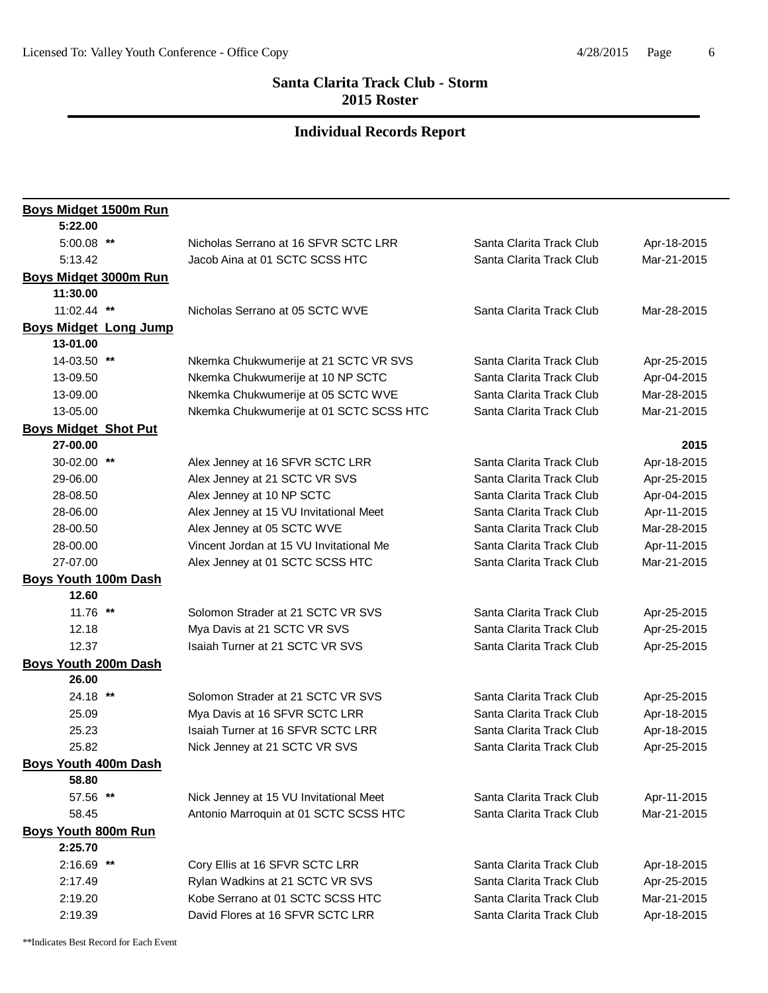#### **Individual Records Report**

| <b>Boys Midget 1500m Run</b> |                                         |                          |             |
|------------------------------|-----------------------------------------|--------------------------|-------------|
| 5:22.00                      |                                         |                          |             |
| 5:00.08 **                   | Nicholas Serrano at 16 SFVR SCTC LRR    | Santa Clarita Track Club | Apr-18-2015 |
| 5:13.42                      | Jacob Aina at 01 SCTC SCSS HTC          | Santa Clarita Track Club | Mar-21-2015 |
| <b>Boys Midget 3000m Run</b> |                                         |                          |             |
| 11:30.00                     |                                         |                          |             |
| 11:02.44 **                  | Nicholas Serrano at 05 SCTC WVE         | Santa Clarita Track Club | Mar-28-2015 |
| <b>Boys Midget Long Jump</b> |                                         |                          |             |
| 13-01.00                     |                                         |                          |             |
| 14-03.50 **                  | Nkemka Chukwumerije at 21 SCTC VR SVS   | Santa Clarita Track Club | Apr-25-2015 |
| 13-09.50                     | Nkemka Chukwumerije at 10 NP SCTC       | Santa Clarita Track Club | Apr-04-2015 |
| 13-09.00                     | Nkemka Chukwumerije at 05 SCTC WVE      | Santa Clarita Track Club | Mar-28-2015 |
| 13-05.00                     | Nkemka Chukwumerije at 01 SCTC SCSS HTC | Santa Clarita Track Club | Mar-21-2015 |
| <b>Boys Midget Shot Put</b>  |                                         |                          |             |
| 27-00.00                     |                                         |                          | 2015        |
| 30-02.00 **                  | Alex Jenney at 16 SFVR SCTC LRR         | Santa Clarita Track Club | Apr-18-2015 |
| 29-06.00                     | Alex Jenney at 21 SCTC VR SVS           | Santa Clarita Track Club | Apr-25-2015 |
| 28-08.50                     | Alex Jenney at 10 NP SCTC               | Santa Clarita Track Club | Apr-04-2015 |
| 28-06.00                     | Alex Jenney at 15 VU Invitational Meet  | Santa Clarita Track Club | Apr-11-2015 |
| 28-00.50                     | Alex Jenney at 05 SCTC WVE              | Santa Clarita Track Club | Mar-28-2015 |
| 28-00.00                     | Vincent Jordan at 15 VU Invitational Me | Santa Clarita Track Club | Apr-11-2015 |
| 27-07.00                     | Alex Jenney at 01 SCTC SCSS HTC         | Santa Clarita Track Club | Mar-21-2015 |
| <b>Boys Youth 100m Dash</b>  |                                         |                          |             |
| 12.60                        |                                         |                          |             |
| 11.76 **                     | Solomon Strader at 21 SCTC VR SVS       | Santa Clarita Track Club | Apr-25-2015 |
| 12.18                        | Mya Davis at 21 SCTC VR SVS             | Santa Clarita Track Club | Apr-25-2015 |
| 12.37                        | Isaiah Turner at 21 SCTC VR SVS         | Santa Clarita Track Club | Apr-25-2015 |
| <b>Boys Youth 200m Dash</b>  |                                         |                          |             |
| 26.00                        |                                         |                          |             |
| 24.18 **                     | Solomon Strader at 21 SCTC VR SVS       | Santa Clarita Track Club | Apr-25-2015 |
| 25.09                        | Mya Davis at 16 SFVR SCTC LRR           | Santa Clarita Track Club | Apr-18-2015 |
| 25.23                        | Isaiah Turner at 16 SFVR SCTC LRR       | Santa Clarita Track Club | Apr-18-2015 |
| 25.82                        | Nick Jenney at 21 SCTC VR SVS           | Santa Clarita Track Club | Apr-25-2015 |
| <b>Boys Youth 400m Dash</b>  |                                         |                          |             |
| 58.80                        |                                         |                          |             |
| 57.56 **                     | Nick Jenney at 15 VU Invitational Meet  | Santa Clarita Track Club | Apr-11-2015 |
| 58.45                        | Antonio Marroquin at 01 SCTC SCSS HTC   | Santa Clarita Track Club | Mar-21-2015 |
| <b>Boys Youth 800m Run</b>   |                                         |                          |             |
| 2:25.70                      |                                         |                          |             |
| 2:16.69 **                   | Cory Ellis at 16 SFVR SCTC LRR          | Santa Clarita Track Club | Apr-18-2015 |
| 2:17.49                      | Rylan Wadkins at 21 SCTC VR SVS         | Santa Clarita Track Club | Apr-25-2015 |
| 2:19.20                      | Kobe Serrano at 01 SCTC SCSS HTC        | Santa Clarita Track Club | Mar-21-2015 |
| 2:19.39                      | David Flores at 16 SFVR SCTC LRR        | Santa Clarita Track Club | Apr-18-2015 |

\*\*Indicates Best Record for Each Event